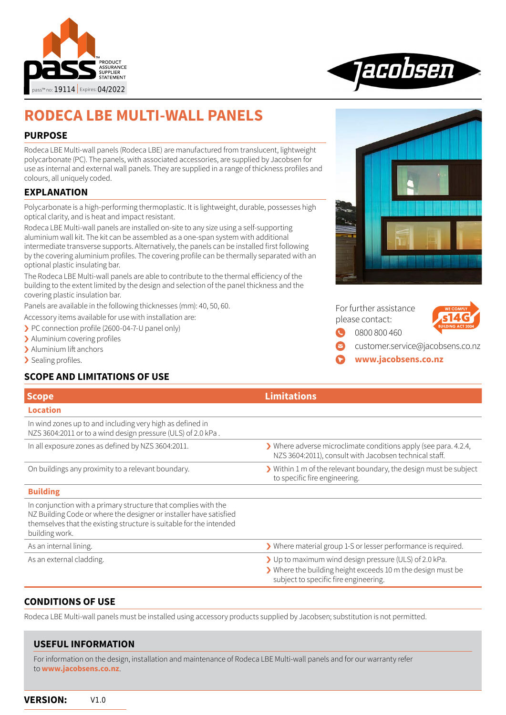



# **RODECA LBE MULTI-WALL PANELS**

#### **PURPOSE**

Rodeca LBE Multi-wall panels (Rodeca LBE) are manufactured from translucent, lightweight polycarbonate (PC). The panels, with associated accessories, are supplied by Jacobsen for use as internal and external wall panels. They are supplied in a range of thickness profiles and colours, all uniquely coded.

### **EXPLANATION**

Polycarbonate is a high-performing thermoplastic. It is lightweight, durable, possesses high optical clarity, and is heat and impact resistant.

Rodeca LBE Multi-wall panels are installed on-site to any size using a self-supporting aluminium wall kit. The kit can be assembled as a one-span system with additional intermediate transverse supports. Alternatively, the panels can be installed first following by the covering aluminium profiles. The covering profile can be thermally separated with an optional plastic insulating bar.

The Rodeca LBE Multi-wall panels are able to contribute to the thermal efficiency of the building to the extent limited by the design and selection of the panel thickness and the covering plastic insulation bar.

Panels are available in the following thicknesses (mm): 40, 50, 60.

Accessory items available for use with installation are:

- › PC connection profile (2600-04-7-U panel only)
- > Aluminium covering profiles
- > Aluminium lift anchors
- > Sealing profiles.

# **SCOPE AND LIMITATIONS OF USE**



|                 | For further assistance |  |  |
|-----------------|------------------------|--|--|
| please contact: |                        |  |  |
|                 | C 0800 800 460         |  |  |



[0800 800 460](tel://+64800800460)

- [customer.service@jacobsens.co.nz](mailto:customer.service%40jacobsens.co.nz%20?subject=Enquiry%20about%20Jacobsen%20Quadroclad)
- **[www.jacobsens.co.nz](http://www.jacobsens.co.nz)**

|                                                                                                                                                                                                                               | <b>Limitations</b>                                                                                                                                             |
|-------------------------------------------------------------------------------------------------------------------------------------------------------------------------------------------------------------------------------|----------------------------------------------------------------------------------------------------------------------------------------------------------------|
| <b>Scope</b>                                                                                                                                                                                                                  |                                                                                                                                                                |
| <b>Location</b>                                                                                                                                                                                                               |                                                                                                                                                                |
| In wind zones up to and including very high as defined in<br>NZS 3604:2011 or to a wind design pressure (ULS) of 2.0 kPa.                                                                                                     |                                                                                                                                                                |
| In all exposure zones as defined by NZS 3604:2011.                                                                                                                                                                            | $\blacktriangleright$ Where adverse microclimate conditions apply (see para. 4.2.4,<br>NZS 3604:2011), consult with Jacobsen technical staff.                  |
| On buildings any proximity to a relevant boundary.                                                                                                                                                                            | Within 1 m of the relevant boundary, the design must be subject<br>to specific fire engineering.                                                               |
| <b>Building</b>                                                                                                                                                                                                               |                                                                                                                                                                |
| In conjunction with a primary structure that complies with the<br>NZ Building Code or where the designer or installer have satisfied<br>themselves that the existing structure is suitable for the intended<br>building work. |                                                                                                                                                                |
| As an internal lining.                                                                                                                                                                                                        | > Where material group 1-S or lesser performance is required.                                                                                                  |
| As an external cladding.                                                                                                                                                                                                      | > Up to maximum wind design pressure (ULS) of 2.0 kPa.<br>> Where the building height exceeds 10 m the design must be<br>subject to specific fire engineering. |

#### **CONDITIONS OF USE**

Rodeca LBE Multi-wall panels must be installed using accessory products supplied by Jacobsen; substitution is not permitted.

# **USEFUL INFORMATION** For information on the design, installation and maintenance of Rodeca LBE Multi-wall panels and for our warranty refer to **[www.jacobsens.co.nz](http://www.jacobsens.co.nz)**.